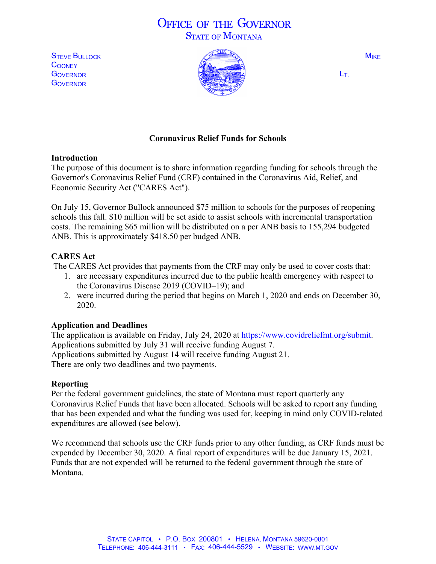# OFFICE OF THE GOVERNOR STATE OF MONTANA

**COONEY GOVERNOR** 



## **Coronavirus Relief Funds for Schools**

### **Introduction**

The purpose of this document is to share information regarding funding for schools through the Governor's Coronavirus Relief Fund (CRF) contained in the Coronavirus Aid, Relief, and Economic Security Act ("CARES Act").

On July 15, Governor Bullock announced \$75 million to schools for the purposes of reopening schools this fall. \$10 million will be set aside to assist schools with incremental transportation costs. The remaining \$65 million will be distributed on a per ANB basis to 155,294 budgeted ANB. This is approximately \$418.50 per budged ANB.

## **CARES Act**

The CARES Act provides that payments from the CRF may only be used to cover costs that:

- 1. are necessary expenditures incurred due to the public health emergency with respect to the Coronavirus Disease 2019 (COVID–19); and
- 2. were incurred during the period that begins on March 1, 2020 and ends on December 30, 2020.

## **Application and Deadlines**

The application is available on Friday, July 24, 2020 at<https://www.covidreliefmt.org/submit>. Applications submitted by July 31 will receive funding August 7. Applications submitted by August 14 will receive funding August 21. There are only two deadlines and two payments.

### **Reporting**

Per the federal government guidelines, the state of Montana must report quarterly any Coronavirus Relief Funds that have been allocated. Schools will be asked to report any funding that has been expended and what the funding was used for, keeping in mind only COVID-related expenditures are allowed (see below).

We recommend that schools use the CRF funds prior to any other funding, as CRF funds must be expended by December 30, 2020. A final report of expenditures will be due January 15, 2021. Funds that are not expended will be returned to the federal government through the state of Montana.